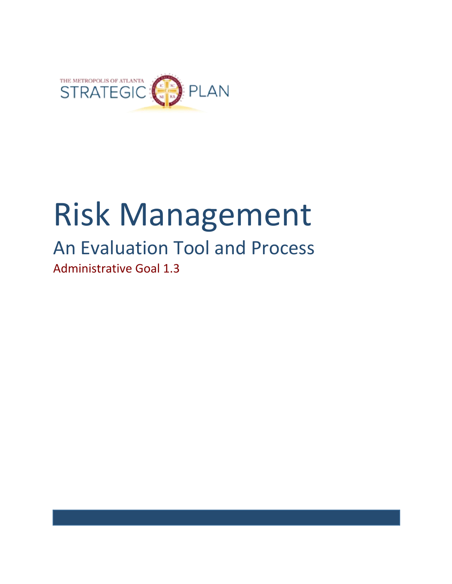

# Risk Management

## An Evaluation Tool and Process Administrative Goal 1.3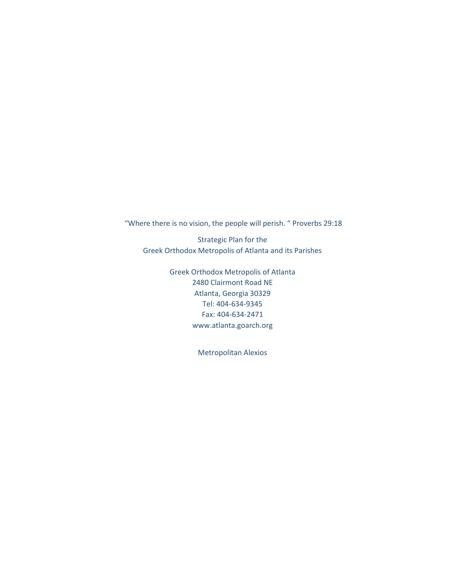"Where there is no vision, the people will perish. " Proverbs 29:18

Strategic Plan for the Greek Orthodox Metropolis of Atlanta and its Parishes

> Greek Orthodox Metropolis of Atlanta 2480 Clairmont Road NE Atlanta, Georgia 30329 Tel: 404-634-9345 Fax: 404-634-2471 www.atlanta.goarch.org

> > Metropolitan Alexios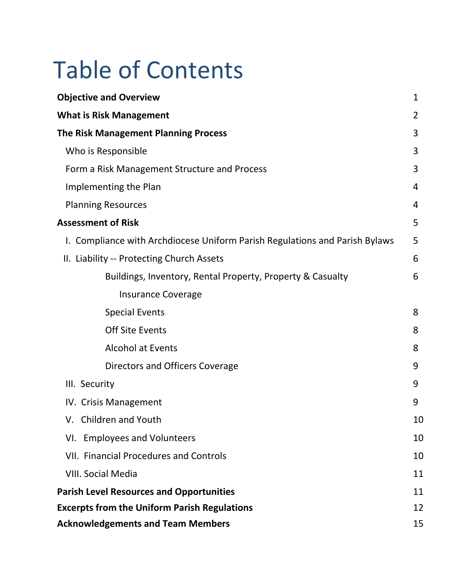## Table of Contents

| <b>Objective and Overview</b>                                               | $\mathbf{1}$ |
|-----------------------------------------------------------------------------|--------------|
| <b>What is Risk Management</b>                                              | 2            |
| <b>The Risk Management Planning Process</b>                                 | 3            |
| Who is Responsible                                                          | 3            |
| Form a Risk Management Structure and Process                                | 3            |
| Implementing the Plan                                                       | 4            |
| <b>Planning Resources</b>                                                   | 4            |
| <b>Assessment of Risk</b>                                                   | 5            |
| I. Compliance with Archdiocese Uniform Parish Regulations and Parish Bylaws | 5            |
| II. Liability -- Protecting Church Assets                                   | 6            |
| Buildings, Inventory, Rental Property, Property & Casualty                  | 6            |
| <b>Insurance Coverage</b>                                                   |              |
| <b>Special Events</b>                                                       | 8            |
| <b>Off Site Events</b>                                                      | 8            |
| <b>Alcohol at Events</b>                                                    | 8            |
| Directors and Officers Coverage                                             | 9            |
| III. Security                                                               | 9            |
| IV. Crisis Management                                                       | 9            |
| V. Children and Youth                                                       | 10           |
| VI. Employees and Volunteers                                                | 10           |
| <b>VII. Financial Procedures and Controls</b>                               | 10           |
| <b>VIII. Social Media</b>                                                   | 11           |
| <b>Parish Level Resources and Opportunities</b>                             | 11           |
| <b>Excerpts from the Uniform Parish Regulations</b>                         | 12           |
| <b>Acknowledgements and Team Members</b>                                    | 15           |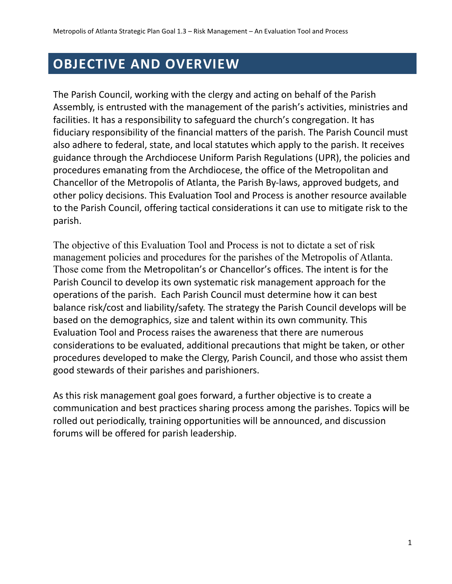## **OBJECTIVE AND OVERVIEW**

The Parish Council, working with the clergy and acting on behalf of the Parish Assembly, is entrusted with the management of the parish's activities, ministries and facilities. It has a responsibility to safeguard the church's congregation. It has fiduciary responsibility of the financial matters of the parish. The Parish Council must also adhere to federal, state, and local statutes which apply to the parish. It receives guidance through the Archdiocese Uniform Parish Regulations (UPR), the policies and procedures emanating from the Archdiocese, the office of the Metropolitan and Chancellor of the Metropolis of Atlanta, the Parish By-laws, approved budgets, and other policy decisions. This Evaluation Tool and Process is another resource available to the Parish Council, offering tactical considerations it can use to mitigate risk to the parish.

The objective of this Evaluation Tool and Process is not to dictate a set of risk management policies and procedures for the parishes of the Metropolis of Atlanta. Those come from the Metropolitan's or Chancellor's offices. The intent is for the Parish Council to develop its own systematic risk management approach for the operations of the parish. Each Parish Council must determine how it can best balance risk/cost and liability/safety. The strategy the Parish Council develops will be based on the demographics, size and talent within its own community. This Evaluation Tool and Process raises the awareness that there are numerous considerations to be evaluated, additional precautions that might be taken, or other procedures developed to make the Clergy, Parish Council, and those who assist them good stewards of their parishes and parishioners.

As this risk management goal goes forward, a further objective is to create a communication and best practices sharing process among the parishes. Topics will be rolled out periodically, training opportunities will be announced, and discussion forums will be offered for parish leadership.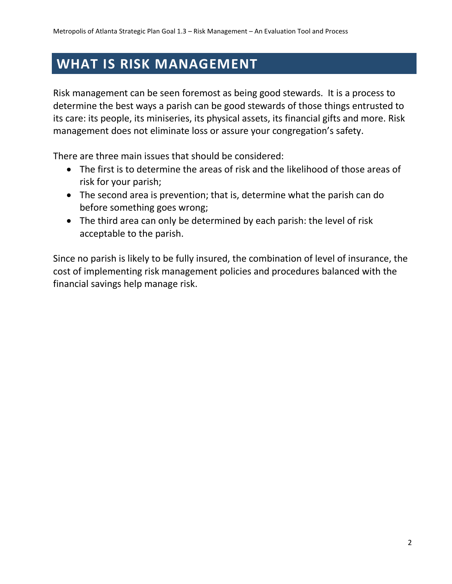## **WHAT IS RISK MANAGEMENT**

Risk management can be seen foremost as being good stewards. It is a process to determine the best ways a parish can be good stewards of those things entrusted to its care: its people, its miniseries, its physical assets, its financial gifts and more. Risk management does not eliminate loss or assure your congregation's safety.

There are three main issues that should be considered:

- The first is to determine the areas of risk and the likelihood of those areas of risk for your parish;
- The second area is prevention; that is, determine what the parish can do before something goes wrong;
- The third area can only be determined by each parish: the level of risk acceptable to the parish.

Since no parish is likely to be fully insured, the combination of level of insurance, the cost of implementing risk management policies and procedures balanced with the financial savings help manage risk.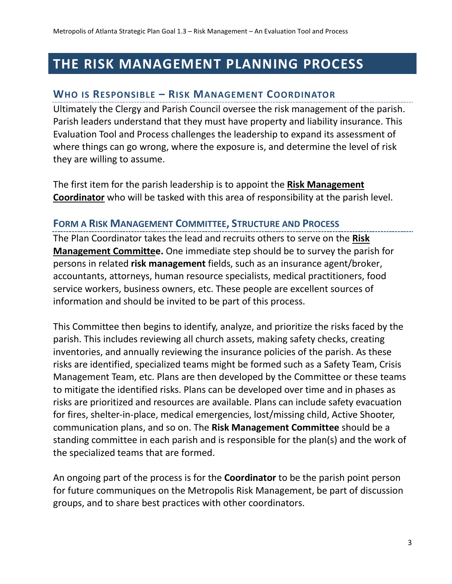## **THE RISK MANAGEMENT PLANNING PROCESS**

### **WHO IS RESPONSIBLE – RISK MANAGEMENT COORDINATOR**

Ultimately the Clergy and Parish Council oversee the risk management of the parish. Parish leaders understand that they must have property and liability insurance. This Evaluation Tool and Process challenges the leadership to expand its assessment of where things can go wrong, where the exposure is, and determine the level of risk they are willing to assume.

The first item for the parish leadership is to appoint the **Risk Management Coordinator** who will be tasked with this area of responsibility at the parish level.

### **FORM A RISK MANAGEMENT COMMITTEE, STRUCTURE AND PROCESS**

The Plan Coordinator takes the lead and recruits others to serve on the **Risk Management Committee.** One immediate step should be to survey the parish for persons in related **risk management** fields, such as an insurance agent/broker, accountants, attorneys, human resource specialists, medical practitioners, food service workers, business owners, etc. These people are excellent sources of information and should be invited to be part of this process.

This Committee then begins to identify, analyze, and prioritize the risks faced by the parish. This includes reviewing all church assets, making safety checks, creating inventories, and annually reviewing the insurance policies of the parish. As these risks are identified, specialized teams might be formed such as a Safety Team, Crisis Management Team, etc. Plans are then developed by the Committee or these teams to mitigate the identified risks. Plans can be developed over time and in phases as risks are prioritized and resources are available. Plans can include safety evacuation for fires, shelter-in-place, medical emergencies, lost/missing child, Active Shooter, communication plans, and so on. The **Risk Management Committee** should be a standing committee in each parish and is responsible for the plan(s) and the work of the specialized teams that are formed.

An ongoing part of the process is for the **Coordinator** to be the parish point person for future communiques on the Metropolis Risk Management, be part of discussion groups, and to share best practices with other coordinators.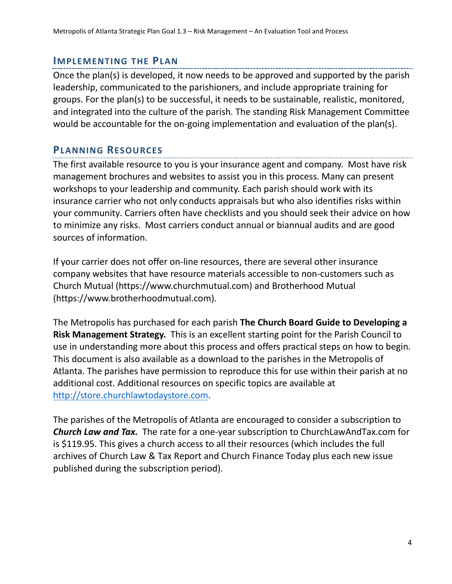#### **IMPLEMENTING THE PLAN**

Once the plan(s) is developed, it now needs to be approved and supported by the parish leadership, communicated to the parishioners, and include appropriate training for groups. For the plan(s) to be successful, it needs to be sustainable, realistic, monitored, and integrated into the culture of the parish. The standing Risk Management Committee would be accountable for the on-going implementation and evaluation of the plan(s).

#### **PLANNING RESOURCES**

The first available resource to you is your insurance agent and company. Most have risk management brochures and websites to assist you in this process. Many can present workshops to your leadership and community. Each parish should work with its insurance carrier who not only conducts appraisals but who also identifies risks within your community. Carriers often have checklists and you should seek their advice on how to minimize any risks. Most carriers conduct annual or biannual audits and are good sources of information.

If your carrier does not offer on-line resources, there are several other insurance company websites that have resource materials accessible to non-customers such as Church Mutual (https://www.churchmutual.com) and Brotherhood Mutual (https://www.brotherhoodmutual.com).

The Metropolis has purchased for each parish **The Church Board Guide to Developing a Risk Management Strategy.** This is an excellent starting point for the Parish Council to use in understanding more about this process and offers practical steps on how to begin. This document is also available as a download to the parishes in the Metropolis of Atlanta. The parishes have permission to reproduce this for use within their parish at no additional cost. Additional resources on specific topics are available at [http://store.churchlawtodaystore.com.](http://store.churchlawtodaystore.com/)

The parishes of the Metropolis of Atlanta are encouraged to consider a subscription to *Church Law and Tax.* The rate for a one-year subscription to ChurchLawAndTax.com for is \$119.95. This gives a church access to all their resources (which includes the full archives of Church Law & Tax Report and Church Finance Today plus each new issue published during the subscription period).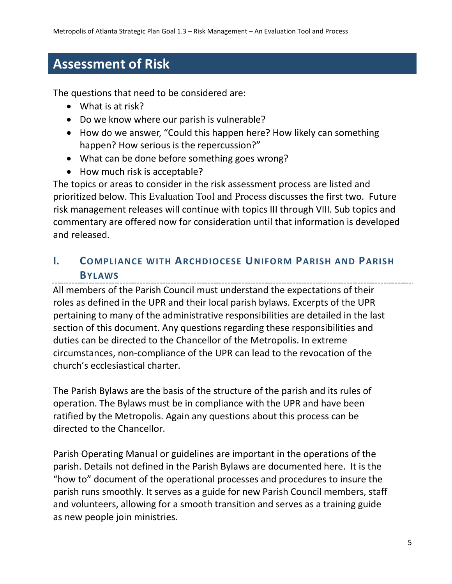## **Assessment of Risk**

The questions that need to be considered are:

- What is at risk?
- Do we know where our parish is vulnerable?
- How do we answer, "Could this happen here? How likely can something happen? How serious is the repercussion?"
- What can be done before something goes wrong?
- How much risk is acceptable?

The topics or areas to consider in the risk assessment process are listed and prioritized below. This Evaluation Tool and Process discusses the first two. Future risk management releases will continue with topics III through VIII. Sub topics and commentary are offered now for consideration until that information is developed and released.

## **I. COMPLIANCE WITH ARCHDIOCESE UNIFORM PARISH AND PARISH BYLAWS**

All members of the Parish Council must understand the expectations of their roles as defined in the UPR and their local parish bylaws. Excerpts of the UPR pertaining to many of the administrative responsibilities are detailed in the last section of this document. Any questions regarding these responsibilities and duties can be directed to the Chancellor of the Metropolis. In extreme circumstances, non-compliance of the UPR can lead to the revocation of the church's ecclesiastical charter.

The Parish Bylaws are the basis of the structure of the parish and its rules of operation. The Bylaws must be in compliance with the UPR and have been ratified by the Metropolis. Again any questions about this process can be directed to the Chancellor.

Parish Operating Manual or guidelines are important in the operations of the parish. Details not defined in the Parish Bylaws are documented here. It is the "how to" document of the operational processes and procedures to insure the parish runs smoothly. It serves as a guide for new Parish Council members, staff and volunteers, allowing for a smooth transition and serves as a training guide as new people join ministries.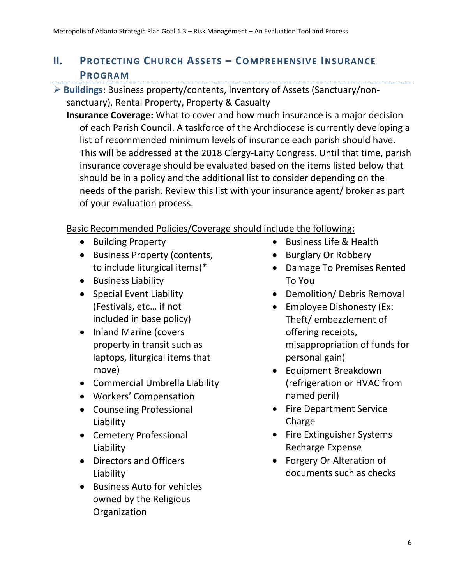## **II. PROTECTING CHURCH ASSETS – COMPREHENSIVE INSURANCE PROGRAM**

- **Buildings**: Business property/contents, Inventory of Assets (Sanctuary/nonsanctuary), Rental Property, Property & Casualty
	- **Insurance Coverage:** What to cover and how much insurance is a major decision of each Parish Council. A taskforce of the Archdiocese is currently developing a list of recommended minimum levels of insurance each parish should have. This will be addressed at the 2018 Clergy-Laity Congress. Until that time, parish insurance coverage should be evaluated based on the items listed below that should be in a policy and the additional list to consider depending on the needs of the parish. Review this list with your insurance agent/ broker as part of your evaluation process.

## Basic Recommended Policies/Coverage should include the following:

- Building Property
- Business Property (contents, to include liturgical items)\*
- **•** Business Liability
- Special Event Liability (Festivals, etc… if not included in base policy)
- Inland Marine (covers property in transit such as laptops, liturgical items that move)
- Commercial Umbrella Liability
- Workers' Compensation
- Counseling Professional Liability
- Cemetery Professional Liability
- Directors and Officers Liability
- Business Auto for vehicles owned by the Religious **Organization**
- Business Life & Health
- Burglary Or Robbery
- Damage To Premises Rented To You
- Demolition/ Debris Removal
- Employee Dishonesty (Ex: Theft/ embezzlement of offering receipts, misappropriation of funds for personal gain)
- Equipment Breakdown (refrigeration or HVAC from named peril)
- Fire Department Service Charge
- Fire Extinguisher Systems Recharge Expense
- Forgery Or Alteration of documents such as checks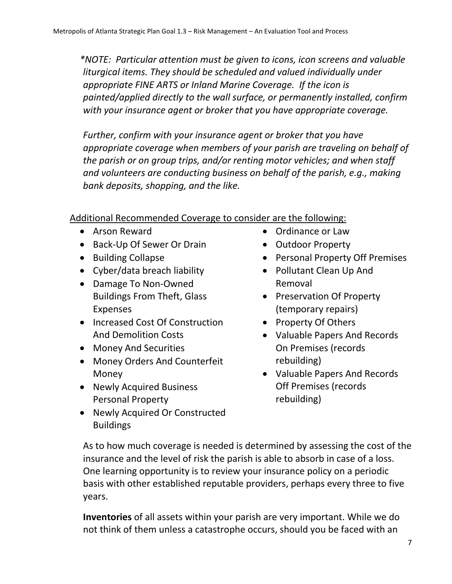*\*NOTE: Particular attention must be given to icons, icon screens and valuable liturgical items. They should be scheduled and valued individually under appropriate FINE ARTS or Inland Marine Coverage. If the icon is painted/applied directly to the wall surface, or permanently installed, confirm with your insurance agent or broker that you have appropriate coverage.* 

*Further, confirm with your insurance agent or broker that you have appropriate coverage when members of your parish are traveling on behalf of the parish or on group trips, and/or renting motor vehicles; and when staff and volunteers are conducting business on behalf of the parish, e.g., making bank deposits, shopping, and the like.*

## Additional Recommended Coverage to consider are the following:

- Arson Reward
- Back-Up Of Sewer Or Drain
- Building Collapse
- Cyber/data breach liability
- Damage To Non-Owned Buildings From Theft, Glass Expenses
- Increased Cost Of Construction And Demolition Costs
- Money And Securities
- Money Orders And Counterfeit Money
- Newly Acquired Business Personal Property
- Newly Acquired Or Constructed Buildings
- Ordinance or Law
- Outdoor Property
- Personal Property Off Premises
- Pollutant Clean Up And Removal
- Preservation Of Property (temporary repairs)
- Property Of Others
- Valuable Papers And Records On Premises (records rebuilding)
- Valuable Papers And Records Off Premises (records rebuilding)

As to how much coverage is needed is determined by assessing the cost of the insurance and the level of risk the parish is able to absorb in case of a loss. One learning opportunity is to review your insurance policy on a periodic basis with other established reputable providers, perhaps every three to five years.

**Inventories** of all assets within your parish are very important. While we do not think of them unless a catastrophe occurs, should you be faced with an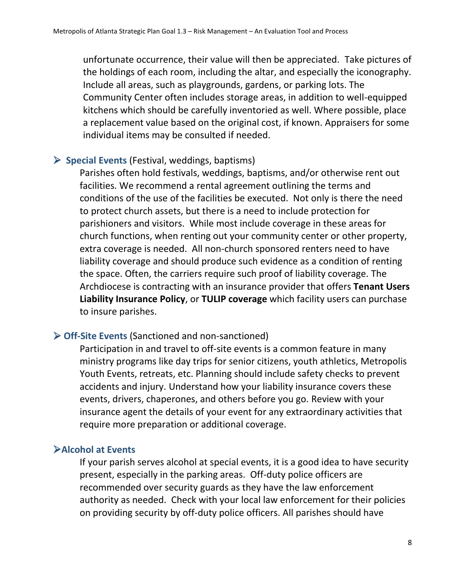unfortunate occurrence, their value will then be appreciated. Take pictures of the holdings of each room, including the altar, and especially the iconography. Include all areas, such as playgrounds, gardens, or parking lots. The Community Center often includes storage areas, in addition to well-equipped kitchens which should be carefully inventoried as well. Where possible, place a replacement value based on the original cost, if known. Appraisers for some individual items may be consulted if needed.

### **Special Events** (Festival, weddings, baptisms)

Parishes often hold festivals, weddings, baptisms, and/or otherwise rent out facilities. We recommend a rental agreement outlining the terms and conditions of the use of the facilities be executed. Not only is there the need to protect church assets, but there is a need to include protection for parishioners and visitors. While most include coverage in these areas for church functions, when renting out your community center or other property, extra coverage is needed. All non-church sponsored renters need to have liability coverage and should produce such evidence as a condition of renting the space. Often, the carriers require such proof of liability coverage. The Archdiocese is contracting with an insurance provider that offers **Tenant Users Liability Insurance Policy**, or **TULIP coverage** which facility users can purchase to insure parishes.

#### **Off-Site Events** (Sanctioned and non-sanctioned)

Participation in and travel to off-site events is a common feature in many ministry programs like day trips for senior citizens, youth athletics, Metropolis Youth Events, retreats, etc. Planning should include safety checks to prevent accidents and injury. Understand how your liability insurance covers these events, drivers, chaperones, and others before you go. Review with your insurance agent the details of your event for any extraordinary activities that require more preparation or additional coverage.

#### **Alcohol at Events**

If your parish serves alcohol at special events, it is a good idea to have security present, especially in the parking areas. Off-duty police officers are recommended over security guards as they have the law enforcement authority as needed. Check with your local law enforcement for their policies on providing security by off-duty police officers. All parishes should have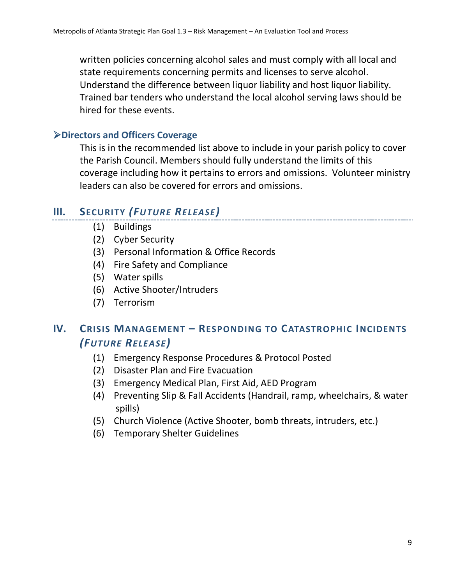written policies concerning alcohol sales and must comply with all local and state requirements concerning permits and licenses to serve alcohol. Understand the difference between liquor liability and host liquor liability. Trained bar tenders who understand the local alcohol serving laws should be hired for these events.

#### **Directors and Officers Coverage**

This is in the recommended list above to include in your parish policy to cover the Parish Council. Members should fully understand the limits of this coverage including how it pertains to errors and omissions. Volunteer ministry leaders can also be covered for errors and omissions.

## **III. SECURITY** *(FUTURE RELEASE)*

- (1)Buildings
- (2) Cyber Security
- (3) Personal Information & Office Records
- (4) Fire Safety and Compliance
- (5) Water spills
- (6) Active Shooter/Intruders
- (7) Terrorism

#### **IV. CRISIS MANAGEMENT – RESPONDING TO CATASTROPHIC INCIDENTS** *(FUTURE RELEASE)*

- (1) Emergency Response Procedures & Protocol Posted
- (2) Disaster Plan and Fire Evacuation
- (3) Emergency Medical Plan, First Aid, AED Program
- (4) Preventing Slip & Fall Accidents (Handrail, ramp, wheelchairs, & water spills)
- (5) Church Violence (Active Shooter, bomb threats, intruders, etc.)
- (6) Temporary Shelter Guidelines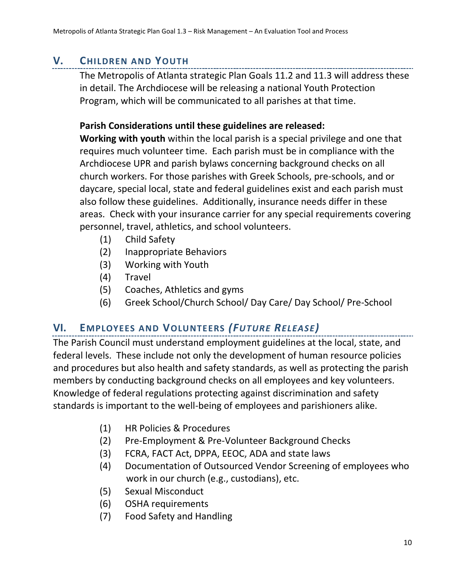## **V. CHILDREN AND YOUTH**

The Metropolis of Atlanta strategic Plan Goals 11.2 and 11.3 will address these in detail. The Archdiocese will be releasing a national Youth Protection Program, which will be communicated to all parishes at that time.

## **Parish Considerations until these guidelines are released:**

**Working with youth** within the local parish is a special privilege and one that requires much volunteer time. Each parish must be in compliance with the Archdiocese UPR and parish bylaws concerning background checks on all church workers. For those parishes with Greek Schools, pre-schools, and or daycare, special local, state and federal guidelines exist and each parish must also follow these guidelines. Additionally, insurance needs differ in these areas. Check with your insurance carrier for any special requirements covering personnel, travel, athletics, and school volunteers.

- (1) Child Safety
- (2) Inappropriate Behaviors
- (3) Working with Youth
- (4) Travel
- (5) Coaches, Athletics and gyms
- (6) Greek School/Church School/ Day Care/ Day School/ Pre-School

## **VI. EMPLOYEES AND VOLUNTEERS** *(FUTURE RELEASE)*

The Parish Council must understand employment guidelines at the local, state, and federal levels. These include not only the development of human resource policies and procedures but also health and safety standards, as well as protecting the parish members by conducting background checks on all employees and key volunteers. Knowledge of federal regulations protecting against discrimination and safety standards is important to the well-being of employees and parishioners alike.

- (1) HR Policies & Procedures
- (2) Pre-Employment & Pre-Volunteer Background Checks
- (3) FCRA, FACT Act, DPPA, EEOC, ADA and state laws
- (4) Documentation of Outsourced Vendor Screening of employees who work in our church (e.g., custodians), etc.
- (5) Sexual Misconduct
- (6) OSHA requirements
- (7) Food Safety and Handling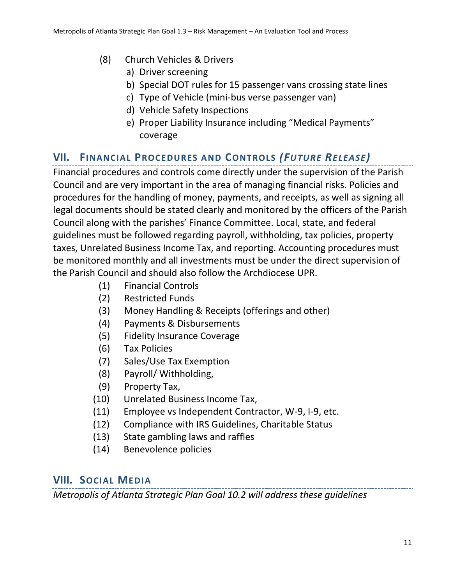- (8) Church Vehicles & Drivers
	- a) Driver screening
	- b) Special DOT rules for 15 passenger vans crossing state lines
	- c) Type of Vehicle (mini-bus verse passenger van)
	- d) Vehicle Safety Inspections
	- e) Proper Liability Insurance including "Medical Payments" coverage

## **VII. FINANCIAL PROCEDURES AND CONTROLS** *(FUTURE RELEASE)*

Financial procedures and controls come directly under the supervision of the Parish Council and are very important in the area of managing financial risks. Policies and procedures for the handling of money, payments, and receipts, as well as signing all legal documents should be stated clearly and monitored by the officers of the Parish Council along with the parishes' Finance Committee. Local, state, and federal guidelines must be followed regarding payroll, withholding, tax policies, property taxes, Unrelated Business Income Tax, and reporting. Accounting procedures must be monitored monthly and all investments must be under the direct supervision of the Parish Council and should also follow the Archdiocese UPR.

- (1) Financial Controls
- (2) Restricted Funds
- (3) Money Handling & Receipts (offerings and other)
- (4) Payments & Disbursements
- (5) Fidelity Insurance Coverage
- (6) Tax Policies
- (7) Sales/Use Tax Exemption
- (8) Payroll/ Withholding,
- (9) Property Tax,
- (10) Unrelated Business Income Tax,
- (11) Employee vs Independent Contractor, W-9, I-9, etc.
- (12) Compliance with IRS Guidelines, Charitable Status
- (13) State gambling laws and raffles
- (14) Benevolence policies

## **VIII. SOCIAL MEDIA**

*Metropolis of Atlanta Strategic Plan Goal 10.2 will address these guidelines*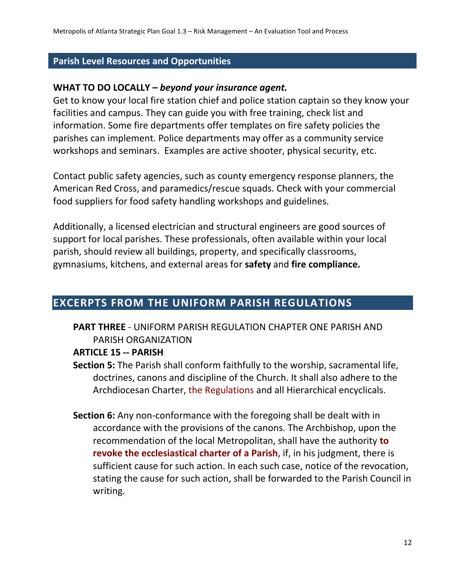#### **Parish Level Resources and Opportunities**

#### **WHAT TO DO LOCALLY –** *beyond your insurance agent.*

Get to know your local fire station chief and police station captain so they know your facilities and campus. They can guide you with free training, check list and information. Some fire departments offer templates on fire safety policies the parishes can implement. Police departments may offer as a community service workshops and seminars. Examples are active shooter, physical security, etc.

Contact public safety agencies, such as county emergency response planners, the American Red Cross, and paramedics/rescue squads. Check with your commercial food suppliers for food safety handling workshops and guidelines.

Additionally, a licensed electrician and structural engineers are good sources of support for local parishes. These professionals, often available within your local parish, should review all buildings, property, and specifically classrooms, gymnasiums, kitchens, and external areas for **safety** and **fire compliance.**

## **EXCERPTS FROM THE UNIFORM PARISH REGULATIONS**

## **PART THREE** - UNIFORM PARISH REGULATION CHAPTER ONE PARISH AND PARISH ORGANIZATION

#### **ARTICLE 15 -- PARISH**

- **Section 5:** The Parish shall conform faithfully to the worship, sacramental life, doctrines, canons and discipline of the Church. It shall also adhere to the Archdiocesan Charter, the Regulations and all Hierarchical encyclicals.
- **Section 6:** Any non-conformance with the foregoing shall be dealt with in accordance with the provisions of the canons. The Archbishop, upon the recommendation of the local Metropolitan, shall have the authority **to revoke the ecclesiastical charter of a Parish**, if, in his judgment, there is sufficient cause for such action. In each such case, notice of the revocation, stating the cause for such action, shall be forwarded to the Parish Council in writing.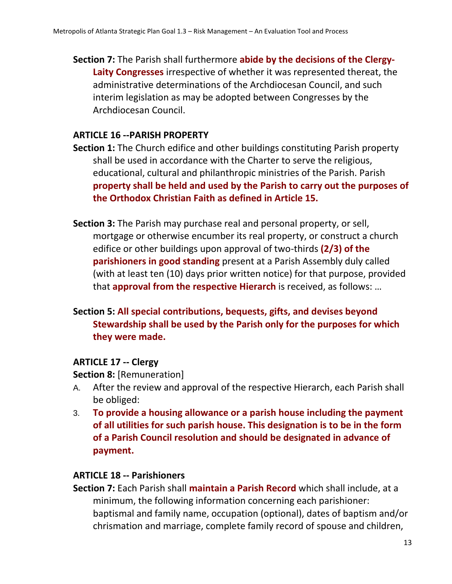**Section 7:** The Parish shall furthermore **abide by the decisions of the Clergy-Laity Congresses** irrespective of whether it was represented thereat, the administrative determinations of the Archdiocesan Council, and such interim legislation as may be adopted between Congresses by the Archdiocesan Council.

## **ARTICLE 16 --PARISH PROPERTY**

- **Section 1:** The Church edifice and other buildings constituting Parish property shall be used in accordance with the Charter to serve the religious, educational, cultural and philanthropic ministries of the Parish. Parish **property shall be held and used by the Parish to carry out the purposes of the Orthodox Christian Faith as defined in Article 15.**
- **Section 3:** The Parish may purchase real and personal property, or sell, mortgage or otherwise encumber its real property, or construct a church edifice or other buildings upon approval of two-thirds **(2/3) of the parishioners in good standing** present at a Parish Assembly duly called (with at least ten (10) days prior written notice) for that purpose, provided that **approval from the respective Hierarch** is received, as follows: …

## **Section 5: All special contributions, bequests, gifts, and devises beyond Stewardship shall be used by the Parish only for the purposes for which they were made.**

## **ARTICLE 17 -- Clergy**

**Section 8:** [Remuneration]

- A. After the review and approval of the respective Hierarch, each Parish shall be obliged:
- 3. **To provide a housing allowance or a parish house including the payment of all utilities for such parish house. This designation is to be in the form of a Parish Council resolution and should be designated in advance of payment.**

## **ARTICLE 18 -- Parishioners**

**Section 7:** Each Parish shall **maintain a Parish Record** which shall include, at a minimum, the following information concerning each parishioner: baptismal and family name, occupation (optional), dates of baptism and/or chrismation and marriage, complete family record of spouse and children,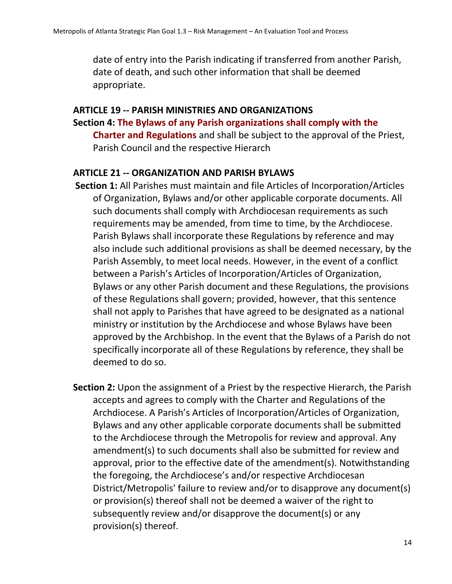date of entry into the Parish indicating if transferred from another Parish, date of death, and such other information that shall be deemed appropriate.

#### **ARTICLE 19 -- PARISH MINISTRIES AND ORGANIZATIONS**

**Section 4: The Bylaws of any Parish organizations shall comply with the Charter and Regulations** and shall be subject to the approval of the Priest, Parish Council and the respective Hierarch

#### **ARTICLE 21 -- ORGANIZATION AND PARISH BYLAWS**

- **Section 1:** All Parishes must maintain and file Articles of Incorporation/Articles of Organization, Bylaws and/or other applicable corporate documents. All such documents shall comply with Archdiocesan requirements as such requirements may be amended, from time to time, by the Archdiocese. Parish Bylaws shall incorporate these Regulations by reference and may also include such additional provisions as shall be deemed necessary, by the Parish Assembly, to meet local needs. However, in the event of a conflict between a Parish's Articles of Incorporation/Articles of Organization, Bylaws or any other Parish document and these Regulations, the provisions of these Regulations shall govern; provided, however, that this sentence shall not apply to Parishes that have agreed to be designated as a national ministry or institution by the Archdiocese and whose Bylaws have been approved by the Archbishop. In the event that the Bylaws of a Parish do not specifically incorporate all of these Regulations by reference, they shall be deemed to do so.
- **Section 2:** Upon the assignment of a Priest by the respective Hierarch, the Parish accepts and agrees to comply with the Charter and Regulations of the Archdiocese. A Parish's Articles of Incorporation/Articles of Organization, Bylaws and any other applicable corporate documents shall be submitted to the Archdiocese through the Metropolis for review and approval. Any amendment(s) to such documents shall also be submitted for review and approval, prior to the effective date of the amendment(s). Notwithstanding the foregoing, the Archdiocese's and/or respective Archdiocesan District/Metropolis' failure to review and/or to disapprove any document(s) or provision(s) thereof shall not be deemed a waiver of the right to subsequently review and/or disapprove the document(s) or any provision(s) thereof.